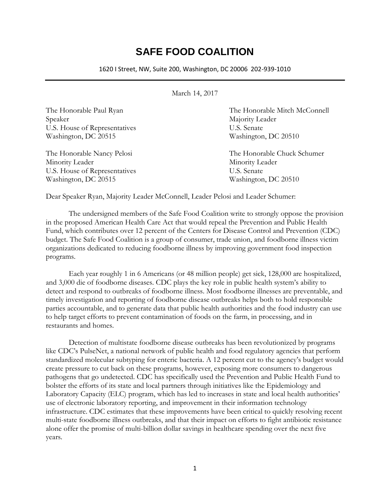## **SAFE FOOD COALITION**

1620 I Street, NW, Suite 200, Washington, DC 20006 202-939-1010

March 14, 2017

Speaker Majority Leader U.S. House of Representatives U.S. Senate Washington, DC 20515 Washington, DC 20510

Minority Leader Minority Leader U.S. House of Representatives U.S. Senate Washington, DC 20515 Washington, DC 20510

The Honorable Paul Ryan The Honorable Mitch McConnell

The Honorable Nancy Pelosi The Honorable Chuck Schumer

Dear Speaker Ryan, Majority Leader McConnell, Leader Pelosi and Leader Schumer:

The undersigned members of the Safe Food Coalition write to strongly oppose the provision in the proposed American Health Care Act that would repeal the Prevention and Public Health Fund, which contributes over 12 percent of the Centers for Disease Control and Prevention (CDC) budget. The Safe Food Coalition is a group of consumer, trade union, and foodborne illness victim organizations dedicated to reducing foodborne illness by improving government food inspection programs.

Each year roughly 1 in 6 Americans (or 48 million people) get sick, 128,000 are hospitalized, and 3,000 die of foodborne diseases. CDC plays the key role in public health system's ability to detect and respond to outbreaks of foodborne illness. Most foodborne illnesses are preventable, and timely investigation and reporting of foodborne disease outbreaks helps both to hold responsible parties accountable, and to generate data that public health authorities and the food industry can use to help target efforts to prevent contamination of foods on the farm, in processing, and in restaurants and homes.

Detection of multistate foodborne disease outbreaks has been revolutionized by programs like CDC's PulseNet, a national network of public health and food regulatory agencies that perform standardized molecular subtyping for enteric bacteria. A 12 percent cut to the agency's budget would create pressure to cut back on these programs, however, exposing more consumers to dangerous pathogens that go undetected. CDC has specifically used the Prevention and Public Health Fund to bolster the efforts of its state and local partners through initiatives like the Epidemiology and Laboratory Capacity (ELC) program, which has led to increases in state and local health authorities' use of electronic laboratory reporting, and improvement in their information technology infrastructure. CDC estimates that these improvements have been critical to quickly resolving recent multi-state foodborne illness outbreaks, and that their impact on efforts to fight antibiotic resistance alone offer the promise of multi-billion dollar savings in healthcare spending over the next five years.